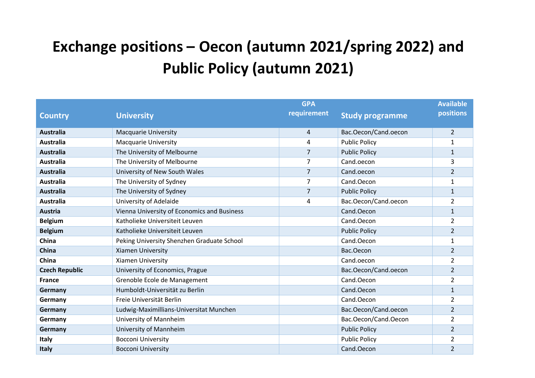## **Exchange positions – Oecon (autumn 2021/spring 2022) and Public Policy (autumn 2021)**

|                       |                                             | <b>GPA</b>     |                        | <b>Available</b> |
|-----------------------|---------------------------------------------|----------------|------------------------|------------------|
| <b>Country</b>        | <b>University</b>                           | requirement    | <b>Study programme</b> | positions        |
|                       |                                             |                |                        |                  |
| Australia             | <b>Macquarie University</b>                 | 4              | Bac.Oecon/Cand.oecon   | $\overline{2}$   |
| <b>Australia</b>      | <b>Macquarie University</b>                 | 4              | <b>Public Policy</b>   | $\mathbf{1}$     |
| <b>Australia</b>      | The University of Melbourne                 | 7              | <b>Public Policy</b>   | $\mathbf{1}$     |
| Australia             | The University of Melbourne                 | 7              | Cand.oecon             | 3                |
| <b>Australia</b>      | University of New South Wales               | 7              | Cand.oecon             | $\overline{2}$   |
| <b>Australia</b>      | The University of Sydney                    | 7              | Cand.Oecon             | $\mathbf{1}$     |
| <b>Australia</b>      | The University of Sydney                    | $\overline{7}$ | <b>Public Policy</b>   | $\mathbf{1}$     |
| <b>Australia</b>      | University of Adelaide                      | 4              | Bac.Oecon/Cand.oecon   | $\overline{2}$   |
| <b>Austria</b>        | Vienna University of Economics and Business |                | Cand.Oecon             | $\mathbf 1$      |
| <b>Belgium</b>        | Katholieke Universiteit Leuven              |                | Cand.Oecon             | $\overline{2}$   |
| <b>Belgium</b>        | Katholieke Universiteit Leuven              |                | <b>Public Policy</b>   | $\overline{2}$   |
| China                 | Peking University Shenzhen Graduate School  |                | Cand.Oecon             | $\mathbf{1}$     |
| China                 | Xiamen University                           |                | Bac.Oecon              | $\overline{2}$   |
| China                 | <b>Xiamen University</b>                    |                | Cand.oecon             | $\overline{2}$   |
| <b>Czech Republic</b> | University of Economics, Prague             |                | Bac.Oecon/Cand.oecon   | $\overline{2}$   |
| <b>France</b>         | Grenoble Ecole de Management                |                | Cand.Oecon             | $\overline{2}$   |
| Germany               | Humboldt-Universität zu Berlin              |                | Cand.Oecon             | $\mathbf{1}$     |
| Germany               | Freie Universität Berlin                    |                | Cand.Oecon             | $\overline{2}$   |
| Germany               | Ludwig-Maximillians-Universitat Munchen     |                | Bac.Oecon/Cand.oecon   | $\overline{2}$   |
| Germany               | University of Mannheim                      |                | Bac.Oecon/Cand.Oecon   | $\overline{2}$   |
| Germany               | University of Mannheim                      |                | <b>Public Policy</b>   | $\overline{2}$   |
| Italy                 | <b>Bocconi University</b>                   |                | <b>Public Policy</b>   | $\overline{2}$   |
| <b>Italy</b>          | <b>Bocconi University</b>                   |                | Cand.Oecon             | $\overline{2}$   |